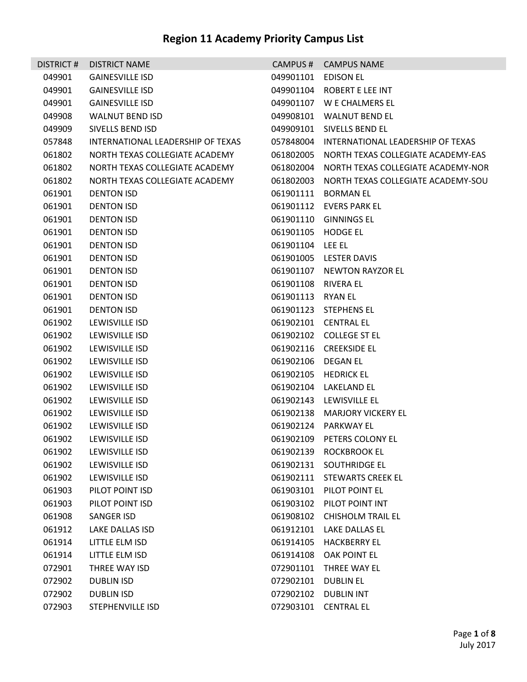|        | DISTRICT # DISTRICT NAME          |                     | CAMPUS # CAMPUS NAME                         |
|--------|-----------------------------------|---------------------|----------------------------------------------|
| 049901 | <b>GAINESVILLE ISD</b>            | 049901101 EDISON EL |                                              |
| 049901 | <b>GAINESVILLE ISD</b>            |                     | 049901104 ROBERT E LEE INT                   |
| 049901 | <b>GAINESVILLE ISD</b>            |                     | 049901107 W E CHALMERS EL                    |
| 049908 | <b>WALNUT BEND ISD</b>            |                     | 049908101 WALNUT BEND EL                     |
| 049909 | SIVELLS BEND ISD                  |                     | 049909101 SIVELLS BEND EL                    |
| 057848 | INTERNATIONAL LEADERSHIP OF TEXAS |                     | 057848004 INTERNATIONAL LEADERSHIP OF TEXAS  |
| 061802 | NORTH TEXAS COLLEGIATE ACADEMY    |                     | 061802005 NORTH TEXAS COLLEGIATE ACADEMY-EAS |
| 061802 | NORTH TEXAS COLLEGIATE ACADEMY    |                     | 061802004 NORTH TEXAS COLLEGIATE ACADEMY-NOR |
| 061802 | NORTH TEXAS COLLEGIATE ACADEMY    |                     | 061802003 NORTH TEXAS COLLEGIATE ACADEMY-SOU |
| 061901 | <b>DENTON ISD</b>                 |                     | 061901111 BORMAN EL                          |
| 061901 | <b>DENTON ISD</b>                 |                     | 061901112 EVERS PARK EL                      |
| 061901 | <b>DENTON ISD</b>                 |                     | 061901110 GINNINGS EL                        |
| 061901 | <b>DENTON ISD</b>                 | 061901105 HODGE EL  |                                              |
| 061901 | <b>DENTON ISD</b>                 | 061901104 LEE EL    |                                              |
| 061901 | <b>DENTON ISD</b>                 |                     | 061901005 LESTER DAVIS                       |
| 061901 | <b>DENTON ISD</b>                 |                     | 061901107 NEWTON RAYZOR EL                   |
| 061901 | <b>DENTON ISD</b>                 | 061901108 RIVERA EL |                                              |
| 061901 | <b>DENTON ISD</b>                 | 061901113 RYAN EL   |                                              |
| 061901 | <b>DENTON ISD</b>                 |                     | 061901123 STEPHENS EL                        |
| 061902 | LEWISVILLE ISD                    |                     | 061902101 CENTRAL EL                         |
| 061902 | LEWISVILLE ISD                    |                     | 061902102 COLLEGE ST EL                      |
| 061902 | LEWISVILLE ISD                    |                     | 061902116 CREEKSIDE EL                       |
| 061902 | LEWISVILLE ISD                    | 061902106 DEGAN EL  |                                              |
| 061902 | LEWISVILLE ISD                    |                     | 061902105 HEDRICK EL                         |
| 061902 | LEWISVILLE ISD                    |                     | 061902104 LAKELAND EL                        |
| 061902 | LEWISVILLE ISD                    |                     | 061902143 LEWISVILLE EL                      |
| 061902 | LEWISVILLE ISD                    |                     | 061902138 MARJORY VICKERY EL                 |
| 061902 | LEWISVILLE ISD                    |                     | 061902124 PARKWAY EL                         |
| 061902 | LEWISVILLE ISD                    |                     | 061902109 PETERS COLONY EL                   |
| 061902 | LEWISVILLE ISD                    |                     | 061902139 ROCKBROOK EL                       |
| 061902 | LEWISVILLE ISD                    |                     | 061902131 SOUTHRIDGE EL                      |
| 061902 | LEWISVILLE ISD                    |                     | 061902111 STEWARTS CREEK EL                  |
| 061903 | PILOT POINT ISD                   |                     | 061903101 PILOT POINT EL                     |
| 061903 | PILOT POINT ISD                   |                     | 061903102 PILOT POINT INT                    |
| 061908 | SANGER ISD                        |                     | 061908102 CHISHOLM TRAIL EL                  |
| 061912 | LAKE DALLAS ISD                   |                     | 061912101 LAKE DALLAS EL                     |
| 061914 | LITTLE ELM ISD                    |                     | 061914105 HACKBERRY EL                       |
| 061914 | LITTLE ELM ISD                    | 061914108           | OAK POINT EL                                 |
| 072901 | THREE WAY ISD                     |                     | 072901101 THREE WAY EL                       |
| 072902 | <b>DUBLIN ISD</b>                 | 072902101           | <b>DUBLIN EL</b>                             |
| 072902 | <b>DUBLIN ISD</b>                 | 072902102           | <b>DUBLIN INT</b>                            |
| 072903 | STEPHENVILLE ISD                  | 072903101           | <b>CENTRAL EL</b>                            |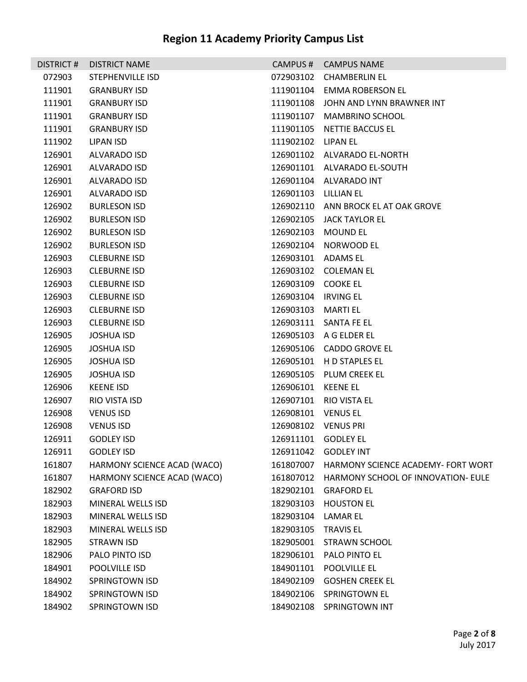| DISTRICT# | <b>DISTRICT NAME</b>        |                      | CAMPUS # CAMPUS NAME                |
|-----------|-----------------------------|----------------------|-------------------------------------|
| 072903    | STEPHENVILLE ISD            |                      | 072903102 CHAMBERLIN EL             |
| 111901    | <b>GRANBURY ISD</b>         |                      | 111901104 EMMA ROBERSON EL          |
| 111901    | <b>GRANBURY ISD</b>         |                      | 111901108 JOHN AND LYNN BRAWNER INT |
| 111901    | <b>GRANBURY ISD</b>         |                      | 111901107 MAMBRINO SCHOOL           |
| 111901    | <b>GRANBURY ISD</b>         |                      | 111901105 NETTIE BACCUS EL          |
| 111902    | LIPAN ISD                   | 111902102 LIPAN EL   |                                     |
| 126901    | ALVARADO ISD                |                      | 126901102 ALVARADO EL-NORTH         |
| 126901    | ALVARADO ISD                |                      | 126901101 ALVARADO EL-SOUTH         |
| 126901    | ALVARADO ISD                |                      | 126901104 ALVARADO INT              |
| 126901    | ALVARADO ISD                | 126901103 LILLIAN EL |                                     |
| 126902    | <b>BURLESON ISD</b>         |                      | 126902110 ANN BROCK EL AT OAK GROVE |
| 126902    | <b>BURLESON ISD</b>         |                      | 126902105 JACK TAYLOR EL            |
| 126902    | <b>BURLESON ISD</b>         | 126902103 MOUND EL   |                                     |
| 126902    | <b>BURLESON ISD</b>         |                      | 126902104 NORWOOD EL                |
| 126903    | <b>CLEBURNE ISD</b>         | 126903101 ADAMS EL   |                                     |
| 126903    | <b>CLEBURNE ISD</b>         |                      | 126903102 COLEMAN EL                |
| 126903    | <b>CLEBURNE ISD</b>         | 126903109 COOKE EL   |                                     |
| 126903    | <b>CLEBURNE ISD</b>         | 126903104 IRVING EL  |                                     |
| 126903    | <b>CLEBURNE ISD</b>         | 126903103 MARTI EL   |                                     |
| 126903    | <b>CLEBURNE ISD</b>         |                      | 126903111 SANTA FE EL               |
| 126905    | <b>JOSHUA ISD</b>           |                      | 126905103 A G ELDER EL              |
| 126905    | <b>JOSHUA ISD</b>           |                      | 126905106 CADDO GROVE EL            |
| 126905    | <b>JOSHUA ISD</b>           |                      | 126905101 H D STAPLES EL            |
| 126905    | <b>JOSHUA ISD</b>           |                      | 126905105 PLUM CREEK EL             |
| 126906    | <b>KEENE ISD</b>            | 126906101 KEENE EL   |                                     |
| 126907    | RIO VISTA ISD               |                      | 126907101 RIO VISTA EL              |
| 126908    | <b>VENUS ISD</b>            | 126908101 VENUS EL   |                                     |
| 126908    | <b>VENUS ISD</b>            | 126908102 VENUS PRI  |                                     |
| 126911    | <b>GODLEY ISD</b>           | 126911101 GODLEY EL  |                                     |
| 126911    | <b>GODLEY ISD</b>           | 126911042            | <b>GODLEY INT</b>                   |
| 161807    | HARMONY SCIENCE ACAD (WACO) | 161807007            | HARMONY SCIENCE ACADEMY- FORT WORT  |
| 161807    | HARMONY SCIENCE ACAD (WACO) | 161807012            | HARMONY SCHOOL OF INNOVATION- EULE  |
| 182902    | <b>GRAFORD ISD</b>          | 182902101            | <b>GRAFORD EL</b>                   |
| 182903    | MINERAL WELLS ISD           | 182903103            | <b>HOUSTON EL</b>                   |
| 182903    | MINERAL WELLS ISD           | 182903104            | <b>LAMAR EL</b>                     |
| 182903    | MINERAL WELLS ISD           | 182903105            | <b>TRAVIS EL</b>                    |
| 182905    | <b>STRAWN ISD</b>           | 182905001            | <b>STRAWN SCHOOL</b>                |
| 182906    | PALO PINTO ISD              | 182906101            | PALO PINTO EL                       |
| 184901    | POOLVILLE ISD               |                      | 184901101 POOLVILLE EL              |
| 184902    | <b>SPRINGTOWN ISD</b>       | 184902109            | <b>GOSHEN CREEK EL</b>              |
| 184902    | <b>SPRINGTOWN ISD</b>       |                      | 184902106 SPRINGTOWN EL             |
| 184902    | SPRINGTOWN ISD              |                      | 184902108 SPRINGTOWN INT            |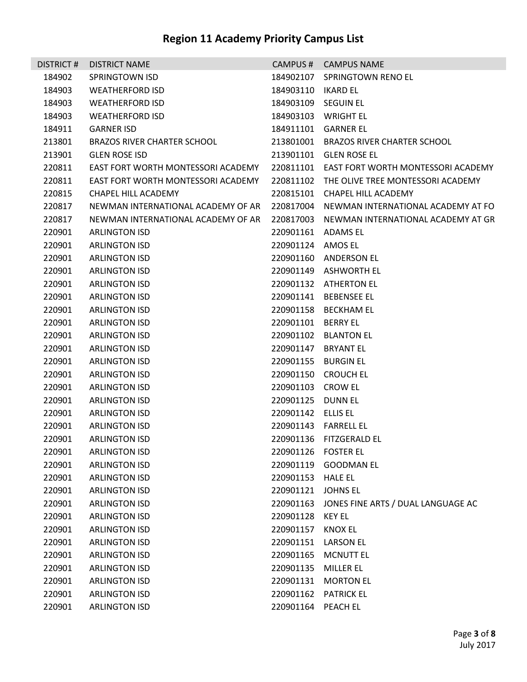| <b>DISTRICT#</b> | <b>DISTRICT NAME</b>               |                     | CAMPUS # CAMPUS NAME                         |
|------------------|------------------------------------|---------------------|----------------------------------------------|
| 184902           | SPRINGTOWN ISD                     |                     | 184902107 SPRINGTOWN RENO EL                 |
| 184903           | <b>WEATHERFORD ISD</b>             |                     |                                              |
| 184903           | <b>WEATHERFORD ISD</b>             | 184903109 SEGUIN EL |                                              |
| 184903           | <b>WEATHERFORD ISD</b>             |                     | 184903103 WRIGHT EL                          |
| 184911           | <b>GARNER ISD</b>                  |                     | 184911101 GARNER EL                          |
| 213801           | <b>BRAZOS RIVER CHARTER SCHOOL</b> |                     | 213801001 BRAZOS RIVER CHARTER SCHOOL        |
| 213901           | <b>GLEN ROSE ISD</b>               |                     | 213901101 GLEN ROSE EL                       |
| 220811           | EAST FORT WORTH MONTESSORI ACADEMY |                     | 220811101 EAST FORT WORTH MONTESSORI ACADEMY |
| 220811           | EAST FORT WORTH MONTESSORI ACADEMY |                     | 220811102 THE OLIVE TREE MONTESSORI ACADEMY  |
| 220815           | CHAPEL HILL ACADEMY                | 220815101           | CHAPEL HILL ACADEMY                          |
| 220817           | NEWMAN INTERNATIONAL ACADEMY OF AR |                     | 220817004 NEWMAN INTERNATIONAL ACADEMY AT FO |
| 220817           | NEWMAN INTERNATIONAL ACADEMY OF AR |                     | 220817003 NEWMAN INTERNATIONAL ACADEMY AT GR |
| 220901           | <b>ARLINGTON ISD</b>               | 220901161 ADAMS EL  |                                              |
| 220901           | <b>ARLINGTON ISD</b>               | 220901124 AMOS EL   |                                              |
| 220901           | <b>ARLINGTON ISD</b>               |                     | 220901160 ANDERSON EL                        |
| 220901           | <b>ARLINGTON ISD</b>               |                     | 220901149 ASHWORTH EL                        |
| 220901           | <b>ARLINGTON ISD</b>               |                     | 220901132 ATHERTON EL                        |
| 220901           | <b>ARLINGTON ISD</b>               |                     | 220901141 BEBENSEE EL                        |
| 220901           | <b>ARLINGTON ISD</b>               |                     | 220901158 BECKHAM EL                         |
| 220901           | <b>ARLINGTON ISD</b>               | 220901101 BERRY EL  |                                              |
| 220901           | <b>ARLINGTON ISD</b>               |                     | 220901102 BLANTON EL                         |
| 220901           | <b>ARLINGTON ISD</b>               | 220901147           | <b>BRYANT EL</b>                             |
| 220901           | <b>ARLINGTON ISD</b>               |                     | 220901155 BURGIN EL                          |
| 220901           | <b>ARLINGTON ISD</b>               |                     | 220901150 CROUCH EL                          |
| 220901           | <b>ARLINGTON ISD</b>               | 220901103 CROW EL   |                                              |
| 220901           | <b>ARLINGTON ISD</b>               | 220901125 DUNN EL   |                                              |
| 220901           | <b>ARLINGTON ISD</b>               | 220901142 ELLIS EL  |                                              |
| 220901           | <b>ARLINGTON ISD</b>               |                     | 220901143    FARRELL EL                      |
| 220901           | <b>ARLINGTON ISD</b>               |                     | 220901136 FITZGERALD EL                      |
| 220901           | <b>ARLINGTON ISD</b>               | 220901126           | <b>FOSTER EL</b>                             |
| 220901           | <b>ARLINGTON ISD</b>               | 220901119           | <b>GOODMAN EL</b>                            |
| 220901           | <b>ARLINGTON ISD</b>               | 220901153           | <b>HALE EL</b>                               |
| 220901           | <b>ARLINGTON ISD</b>               | 220901121           | <b>JOHNS EL</b>                              |
| 220901           | <b>ARLINGTON ISD</b>               | 220901163           | JONES FINE ARTS / DUAL LANGUAGE AC           |
| 220901           | <b>ARLINGTON ISD</b>               | 220901128           | <b>KEY EL</b>                                |
| 220901           | <b>ARLINGTON ISD</b>               | 220901157           | <b>KNOX EL</b>                               |
| 220901           | <b>ARLINGTON ISD</b>               | 220901151           | <b>LARSON EL</b>                             |
| 220901           | <b>ARLINGTON ISD</b>               | 220901165           | <b>MCNUTT EL</b>                             |
| 220901           | <b>ARLINGTON ISD</b>               | 220901135           | MILLER EL                                    |
| 220901           | <b>ARLINGTON ISD</b>               | 220901131           | <b>MORTON EL</b>                             |
| 220901           | <b>ARLINGTON ISD</b>               | 220901162           | <b>PATRICK EL</b>                            |
| 220901           | <b>ARLINGTON ISD</b>               | 220901164           | PEACH EL                                     |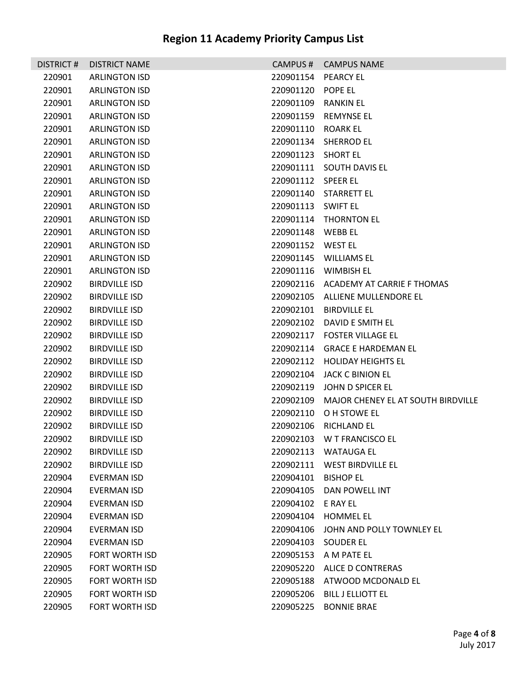| DISTRICT# | <b>DISTRICT NAME</b>  |                   | CAMPUS # CAMPUS NAME                 |
|-----------|-----------------------|-------------------|--------------------------------------|
| 220901    | <b>ARLINGTON ISD</b>  | 220901154         | <b>PEARCY EL</b>                     |
| 220901    | <b>ARLINGTON ISD</b>  | 220901120         | POPE EL                              |
| 220901    | <b>ARLINGTON ISD</b>  | 220901109         | <b>RANKIN EL</b>                     |
| 220901    | <b>ARLINGTON ISD</b>  | 220901159         | <b>REMYNSE EL</b>                    |
| 220901    | <b>ARLINGTON ISD</b>  | 220901110         | <b>ROARK EL</b>                      |
| 220901    | <b>ARLINGTON ISD</b>  | 220901134         | <b>SHERROD EL</b>                    |
| 220901    | <b>ARLINGTON ISD</b>  | 220901123         | <b>SHORT EL</b>                      |
| 220901    | <b>ARLINGTON ISD</b>  |                   | 220901111 SOUTH DAVIS EL             |
| 220901    | <b>ARLINGTON ISD</b>  | 220901112         | <b>SPEER EL</b>                      |
| 220901    | <b>ARLINGTON ISD</b>  | 220901140         | STARRETT EL                          |
| 220901    | <b>ARLINGTON ISD</b>  | 220901113         | SWIFT EL                             |
| 220901    | <b>ARLINGTON ISD</b>  |                   | 220901114 THORNTON EL                |
| 220901    | <b>ARLINGTON ISD</b>  | 220901148         | WEBB EL                              |
| 220901    | <b>ARLINGTON ISD</b>  | 220901152 WEST EL |                                      |
| 220901    | <b>ARLINGTON ISD</b>  | 220901145         | <b>WILLIAMS EL</b>                   |
| 220901    | <b>ARLINGTON ISD</b>  |                   | 220901116 WIMBISH EL                 |
| 220902    | <b>BIRDVILLE ISD</b>  |                   | 220902116 ACADEMY AT CARRIE F THOMAS |
| 220902    | <b>BIRDVILLE ISD</b>  |                   | 220902105 ALLIENE MULLENDORE EL      |
| 220902    | <b>BIRDVILLE ISD</b>  | 220902101         | <b>BIRDVILLE EL</b>                  |
| 220902    | <b>BIRDVILLE ISD</b>  | 220902102         | DAVID E SMITH EL                     |
| 220902    | <b>BIRDVILLE ISD</b>  | 220902117         | <b>FOSTER VILLAGE EL</b>             |
| 220902    | <b>BIRDVILLE ISD</b>  | 220902114         | <b>GRACE E HARDEMAN EL</b>           |
| 220902    | <b>BIRDVILLE ISD</b>  | 220902112         | <b>HOLIDAY HEIGHTS EL</b>            |
| 220902    | <b>BIRDVILLE ISD</b>  | 220902104         | <b>JACK C BINION EL</b>              |
| 220902    | <b>BIRDVILLE ISD</b>  | 220902119         | JOHN D SPICER EL                     |
| 220902    | <b>BIRDVILLE ISD</b>  | 220902109         | MAJOR CHENEY EL AT SOUTH BIRDVILLE   |
| 220902    | <b>BIRDVILLE ISD</b>  | 220902110         | O H STOWE EL                         |
| 220902    | <b>BIRDVILLE ISD</b>  | 220902106         | <b>RICHLAND EL</b>                   |
| 220902    | <b>BIRDVILLE ISD</b>  | 220902103         | W T FRANCISCO EL                     |
| 220902    | <b>BIRDVILLE ISD</b>  |                   | 220902113 WATAUGA EL                 |
| 220902    | <b>BIRDVILLE ISD</b>  | 220902111         | WEST BIRDVILLE EL                    |
| 220904    | EVERMAN ISD           | 220904101         | <b>BISHOP EL</b>                     |
| 220904    | EVERMAN ISD           | 220904105         | DAN POWELL INT                       |
| 220904    | EVERMAN ISD           | 220904102         | E RAY EL                             |
| 220904    | <b>EVERMAN ISD</b>    | 220904104         | <b>HOMMEL EL</b>                     |
| 220904    | EVERMAN ISD           | 220904106         | JOHN AND POLLY TOWNLEY EL            |
| 220904    | EVERMAN ISD           | 220904103         | SOUDER EL                            |
| 220905    | FORT WORTH ISD        |                   | 220905153 A M PATE EL                |
| 220905    | FORT WORTH ISD        | 220905220         | ALICE D CONTRERAS                    |
| 220905    | <b>FORT WORTH ISD</b> | 220905188         | ATWOOD MCDONALD EL                   |
| 220905    | FORT WORTH ISD        | 220905206         | <b>BILL J ELLIOTT EL</b>             |
| 220905    | FORT WORTH ISD        | 220905225         | <b>BONNIE BRAE</b>                   |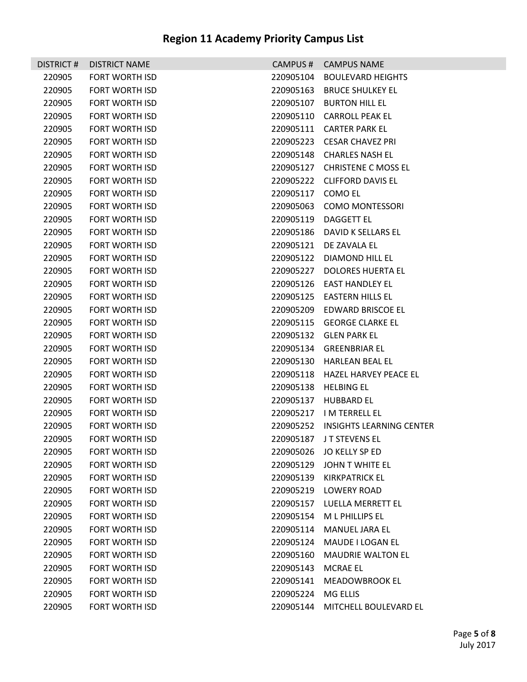|        | DISTRICT # DISTRICT NAME |                    | CAMPUS # CAMPUS NAME               |
|--------|--------------------------|--------------------|------------------------------------|
| 220905 | <b>FORT WORTH ISD</b>    |                    | 220905104 BOULEVARD HEIGHTS        |
| 220905 | <b>FORT WORTH ISD</b>    |                    | 220905163 BRUCE SHULKEY EL         |
| 220905 | <b>FORT WORTH ISD</b>    |                    | 220905107 BURTON HILL EL           |
| 220905 | FORT WORTH ISD           |                    | 220905110 CARROLL PEAK EL          |
| 220905 | FORT WORTH ISD           |                    | 220905111 CARTER PARK EL           |
| 220905 | <b>FORT WORTH ISD</b>    |                    | 220905223 CESAR CHAVEZ PRI         |
| 220905 | FORT WORTH ISD           |                    | 220905148 CHARLES NASH EL          |
| 220905 | <b>FORT WORTH ISD</b>    |                    | 220905127 CHRISTENE C MOSS EL      |
| 220905 | FORT WORTH ISD           |                    | 220905222 CLIFFORD DAVIS EL        |
| 220905 | <b>FORT WORTH ISD</b>    | 220905117 COMO EL  |                                    |
| 220905 | <b>FORT WORTH ISD</b>    |                    | 220905063 COMO MONTESSORI          |
| 220905 | <b>FORT WORTH ISD</b>    |                    | 220905119 DAGGETT EL               |
| 220905 | FORT WORTH ISD           |                    | 220905186 DAVID K SELLARS EL       |
| 220905 | <b>FORT WORTH ISD</b>    |                    | 220905121 DE ZAVALA EL             |
| 220905 | <b>FORT WORTH ISD</b>    |                    | 220905122 DIAMOND HILL EL          |
| 220905 | <b>FORT WORTH ISD</b>    |                    | 220905227 DOLORES HUERTA EL        |
| 220905 | FORT WORTH ISD           |                    | 220905126 EAST HANDLEY EL          |
| 220905 | <b>FORT WORTH ISD</b>    |                    | 220905125 EASTERN HILLS EL         |
| 220905 | <b>FORT WORTH ISD</b>    |                    | 220905209 EDWARD BRISCOE EL        |
| 220905 | <b>FORT WORTH ISD</b>    |                    | 220905115 GEORGE CLARKE EL         |
| 220905 | FORT WORTH ISD           |                    | 220905132 GLEN PARK EL             |
| 220905 | <b>FORT WORTH ISD</b>    |                    | 220905134 GREENBRIAR EL            |
| 220905 | <b>FORT WORTH ISD</b>    |                    | 220905130 HARLEAN BEAL EL          |
| 220905 | FORT WORTH ISD           |                    | 220905118 HAZEL HARVEY PEACE EL    |
| 220905 | FORT WORTH ISD           |                    | 220905138 HELBING EL               |
| 220905 | <b>FORT WORTH ISD</b>    |                    | 220905137 HUBBARD EL               |
| 220905 | <b>FORT WORTH ISD</b>    |                    | 220905217 IM TERRELL EL            |
| 220905 | FORT WORTH ISD           |                    | 220905252 INSIGHTS LEARNING CENTER |
| 220905 | <b>FORT WORTH ISD</b>    |                    | 220905187 JT STEVENS EL            |
| 220905 | FORT WORTH ISD           |                    | 220905026 JO KELLY SP ED           |
| 220905 | <b>FORT WORTH ISD</b>    | 220905129          | JOHN T WHITE EL                    |
| 220905 | <b>FORT WORTH ISD</b>    | 220905139          | KIRKPATRICK EL                     |
| 220905 | FORT WORTH ISD           |                    | 220905219 LOWERY ROAD              |
| 220905 | <b>FORT WORTH ISD</b>    |                    | 220905157 LUELLA MERRETT EL        |
| 220905 | <b>FORT WORTH ISD</b>    |                    | 220905154 ML PHILLIPS EL           |
| 220905 | <b>FORT WORTH ISD</b>    |                    | 220905114 MANUEL JARA EL           |
| 220905 | <b>FORT WORTH ISD</b>    |                    | 220905124 MAUDE I LOGAN EL         |
| 220905 | <b>FORT WORTH ISD</b>    | 220905160          | MAUDRIE WALTON EL                  |
| 220905 | <b>FORT WORTH ISD</b>    | 220905143 MCRAE EL |                                    |
| 220905 | <b>FORT WORTH ISD</b>    |                    | 220905141 MEADOWBROOK EL           |
| 220905 | <b>FORT WORTH ISD</b>    | 220905224 MG ELLIS |                                    |
| 220905 | <b>FORT WORTH ISD</b>    |                    | 220905144 MITCHELL BOULEVARD EL    |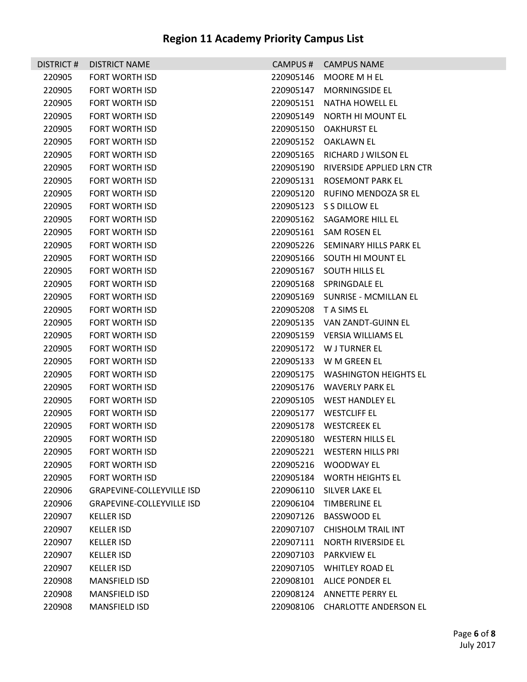| DISTRICT# | <b>DISTRICT NAME</b>             | CAMPUS #  | <b>CAMPUS NAME</b>               |
|-----------|----------------------------------|-----------|----------------------------------|
| 220905    | <b>FORT WORTH ISD</b>            | 220905146 | MOORE M H EL                     |
| 220905    | <b>FORT WORTH ISD</b>            | 220905147 | <b>MORNINGSIDE EL</b>            |
| 220905    | <b>FORT WORTH ISD</b>            | 220905151 | NATHA HOWELL EL                  |
| 220905    | <b>FORT WORTH ISD</b>            | 220905149 | <b>NORTH HI MOUNT EL</b>         |
| 220905    | <b>FORT WORTH ISD</b>            | 220905150 | <b>OAKHURST EL</b>               |
| 220905    | <b>FORT WORTH ISD</b>            | 220905152 | <b>OAKLAWN EL</b>                |
| 220905    | <b>FORT WORTH ISD</b>            | 220905165 | RICHARD J WILSON EL              |
| 220905    | <b>FORT WORTH ISD</b>            | 220905190 | RIVERSIDE APPLIED LRN CTR        |
| 220905    | <b>FORT WORTH ISD</b>            | 220905131 | ROSEMONT PARK EL                 |
| 220905    | <b>FORT WORTH ISD</b>            | 220905120 | RUFINO MENDOZA SR EL             |
| 220905    | <b>FORT WORTH ISD</b>            |           | 220905123 S S DILLOW EL          |
| 220905    | <b>FORT WORTH ISD</b>            |           | 220905162 SAGAMORE HILL EL       |
| 220905    | FORT WORTH ISD                   |           | 220905161 SAM ROSEN EL           |
| 220905    | <b>FORT WORTH ISD</b>            |           | 220905226 SEMINARY HILLS PARK EL |
| 220905    | <b>FORT WORTH ISD</b>            |           | 220905166 SOUTH HI MOUNT EL      |
| 220905    | <b>FORT WORTH ISD</b>            | 220905167 | <b>SOUTH HILLS EL</b>            |
| 220905    | <b>FORT WORTH ISD</b>            |           | 220905168 SPRINGDALE EL          |
| 220905    | <b>FORT WORTH ISD</b>            |           | 220905169 SUNRISE - MCMILLAN EL  |
| 220905    | <b>FORT WORTH ISD</b>            |           | 220905208 TA SIMS EL             |
| 220905    | <b>FORT WORTH ISD</b>            |           | 220905135 VAN ZANDT-GUINN EL     |
| 220905    | <b>FORT WORTH ISD</b>            |           | 220905159 VERSIA WILLIAMS EL     |
| 220905    | <b>FORT WORTH ISD</b>            |           | 220905172 W J TURNER EL          |
| 220905    | <b>FORT WORTH ISD</b>            |           | 220905133 W M GREEN EL           |
| 220905    | <b>FORT WORTH ISD</b>            |           | 220905175 WASHINGTON HEIGHTS EL  |
| 220905    | FORT WORTH ISD                   |           | 220905176 WAVERLY PARK EL        |
| 220905    | <b>FORT WORTH ISD</b>            |           | 220905105 WEST HANDLEY EL        |
| 220905    | <b>FORT WORTH ISD</b>            |           | 220905177 WESTCLIFF EL           |
| 220905    | <b>FORT WORTH ISD</b>            |           | 220905178 WESTCREEK EL           |
| 220905    | <b>FORT WORTH ISD</b>            | 220905180 | <b>WESTERN HILLS EL</b>          |
| 220905    | <b>FORT WORTH ISD</b>            | 220905221 | <b>WESTERN HILLS PRI</b>         |
| 220905    | <b>FORT WORTH ISD</b>            | 220905216 | WOODWAY EL                       |
| 220905    | <b>FORT WORTH ISD</b>            | 220905184 | <b>WORTH HEIGHTS EL</b>          |
| 220906    | <b>GRAPEVINE-COLLEYVILLE ISD</b> | 220906110 | SILVER LAKE EL                   |
| 220906    | <b>GRAPEVINE-COLLEYVILLE ISD</b> | 220906104 | <b>TIMBERLINE EL</b>             |
| 220907    | <b>KELLER ISD</b>                | 220907126 | BASSWOOD EL                      |
| 220907    | <b>KELLER ISD</b>                | 220907107 | <b>CHISHOLM TRAIL INT</b>        |
| 220907    | <b>KELLER ISD</b>                | 220907111 | <b>NORTH RIVERSIDE EL</b>        |
| 220907    | <b>KELLER ISD</b>                | 220907103 | <b>PARKVIEW EL</b>               |
| 220907    | <b>KELLER ISD</b>                | 220907105 | WHITLEY ROAD EL                  |
| 220908    | <b>MANSFIELD ISD</b>             | 220908101 | ALICE PONDER EL                  |
| 220908    | <b>MANSFIELD ISD</b>             | 220908124 | ANNETTE PERRY EL                 |
| 220908    | <b>MANSFIELD ISD</b>             | 220908106 | <b>CHARLOTTE ANDERSON EL</b>     |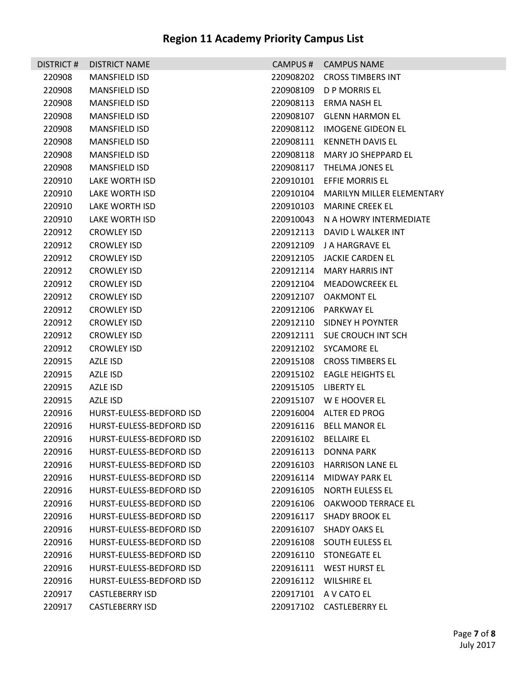| <b>DISTRICT#</b> | <b>DISTRICT NAME</b>     | CAMPUS#   | <b>CAMPUS NAME</b>         |
|------------------|--------------------------|-----------|----------------------------|
| 220908           | <b>MANSFIELD ISD</b>     | 220908202 | <b>CROSS TIMBERS INT</b>   |
| 220908           | <b>MANSFIELD ISD</b>     | 220908109 | D P MORRIS EL              |
| 220908           | <b>MANSFIELD ISD</b>     | 220908113 | ERMA NASH EL               |
| 220908           | <b>MANSFIELD ISD</b>     | 220908107 | GLENN HARMON EL            |
| 220908           | <b>MANSFIELD ISD</b>     | 220908112 | <b>IMOGENE GIDEON EL</b>   |
| 220908           | <b>MANSFIELD ISD</b>     | 220908111 | <b>KENNETH DAVIS EL</b>    |
| 220908           | <b>MANSFIELD ISD</b>     | 220908118 | MARY JO SHEPPARD EL        |
| 220908           | <b>MANSFIELD ISD</b>     | 220908117 | THELMA JONES EL            |
| 220910           | <b>LAKE WORTH ISD</b>    | 220910101 | <b>EFFIE MORRIS EL</b>     |
| 220910           | LAKE WORTH ISD           | 220910104 | MARILYN MILLER ELEMENTARY  |
| 220910           | LAKE WORTH ISD           | 220910103 | <b>MARINE CREEK EL</b>     |
| 220910           | LAKE WORTH ISD           | 220910043 | N A HOWRY INTERMEDIATE     |
| 220912           | <b>CROWLEY ISD</b>       | 220912113 | DAVID L WALKER INT         |
| 220912           | <b>CROWLEY ISD</b>       | 220912109 | J A HARGRAVE EL            |
| 220912           | <b>CROWLEY ISD</b>       | 220912105 | JACKIE CARDEN EL           |
| 220912           | <b>CROWLEY ISD</b>       |           | 220912114 MARY HARRIS INT  |
| 220912           | <b>CROWLEY ISD</b>       | 220912104 | <b>MEADOWCREEK EL</b>      |
| 220912           | <b>CROWLEY ISD</b>       | 220912107 | <b>OAKMONT EL</b>          |
| 220912           | <b>CROWLEY ISD</b>       | 220912106 | PARKWAY EL                 |
| 220912           | <b>CROWLEY ISD</b>       | 220912110 | SIDNEY H POYNTER           |
| 220912           | <b>CROWLEY ISD</b>       | 220912111 | SUE CROUCH INT SCH         |
| 220912           | <b>CROWLEY ISD</b>       | 220912102 | SYCAMORE EL                |
| 220915           | AZLE ISD                 |           | 220915108 CROSS TIMBERS EL |
| 220915           | AZLE ISD                 |           | 220915102 EAGLE HEIGHTS EL |
| 220915           | AZLE ISD                 | 220915105 | LIBERTY EL                 |
| 220915           | AZLE ISD                 |           | 220915107 W E HOOVER EL    |
| 220916           | HURST-EULESS-BEDFORD ISD | 220916004 | ALTER ED PROG              |
| 220916           | HURST-EULESS-BEDFORD ISD |           | 220916116 BELL MANOR EL    |
| 220916           | HURST-FULESS-BEDFORD ISD |           | 220916102 BELLAIRE EL      |
| 220916           | HURST-EULESS-BEDFORD ISD |           | 220916113 DONNA PARK       |
| 220916           | HURST-EULESS-BEDFORD ISD | 220916103 | <b>HARRISON LANE EL</b>    |
| 220916           | HURST-EULESS-BEDFORD ISD | 220916114 | MIDWAY PARK EL             |
| 220916           | HURST-EULESS-BEDFORD ISD | 220916105 | NORTH EULESS EL            |
| 220916           | HURST-EULESS-BEDFORD ISD | 220916106 | OAKWOOD TERRACE EL         |
| 220916           | HURST-EULESS-BEDFORD ISD | 220916117 | <b>SHADY BROOK EL</b>      |
| 220916           | HURST-EULESS-BEDFORD ISD | 220916107 | <b>SHADY OAKS EL</b>       |
| 220916           | HURST-EULESS-BEDFORD ISD | 220916108 | SOUTH EULESS EL            |
| 220916           | HURST-EULESS-BEDFORD ISD |           | 220916110 STONEGATE EL     |
| 220916           | HURST-EULESS-BEDFORD ISD | 220916111 | <b>WEST HURST EL</b>       |
| 220916           | HURST-EULESS-BEDFORD ISD | 220916112 | WILSHIRE EL                |
| 220917           | <b>CASTLEBERRY ISD</b>   | 220917101 | A V CATO EL                |
| 220917           | <b>CASTLEBERRY ISD</b>   |           | 220917102 CASTLEBERRY EL   |